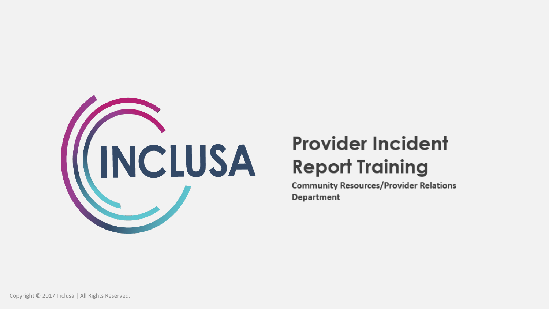

# **Provider Incident Report Training**

**Community Resources/Provider Relations Department**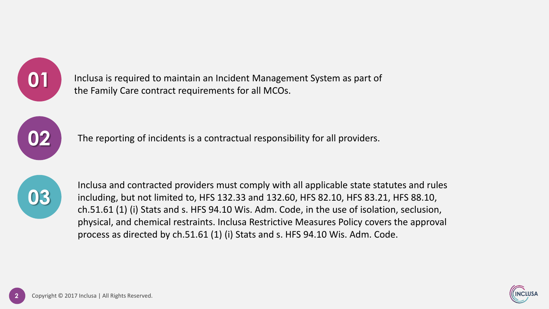

Inclusa is required to maintain an Incident Management System as part of the Family Care contract requirements for all MCOs.



The reporting of incidents is a contractual responsibility for all providers.



Inclusa and contracted providers must comply with all applicable state statutes and rules including, but not limited to, HFS 132.33 and 132.60, HFS 82.10, HFS 83.21, HFS 88.10, ch.51.61 (1) (i) Stats and s. HFS 94.10 Wis. Adm. Code, in the use of isolation, seclusion, physical, and chemical restraints. Inclusa Restrictive Measures Policy covers the approval process as directed by ch.51.61 (1) (i) Stats and s. HFS 94.10 Wis. Adm. Code.

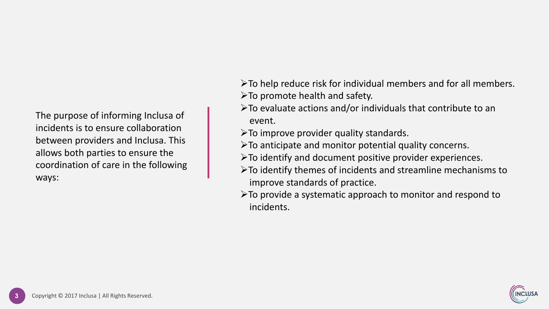The purpose of informing Inclusa of incidents is to ensure collaboration between providers and Inclusa. This allows both parties to ensure the coordination of care in the following ways:

➢To help reduce risk for individual members and for all members.  $\triangleright$  To promote health and safety.

- $\triangleright$  To evaluate actions and/or individuals that contribute to an event.
- $\triangleright$  To improve provider quality standards.
- $\triangleright$  To anticipate and monitor potential quality concerns.
- ➢To identify and document positive provider experiences.
- ➢To identify themes of incidents and streamline mechanisms to improve standards of practice.
- ➢To provide a systematic approach to monitor and respond to incidents.

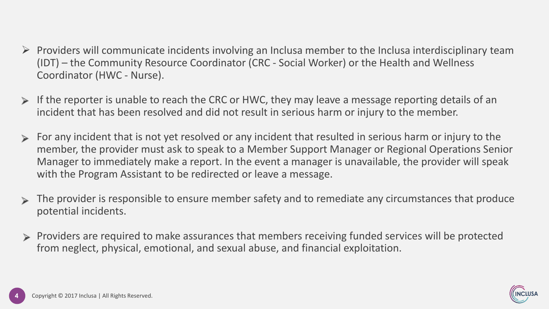- $\triangleright$  Providers will communicate incidents involving an Inclusa member to the Inclusa interdisciplinary team (IDT) – the Community Resource Coordinator (CRC - Social Worker) or the Health and Wellness Coordinator (HWC - Nurse).
- If the reporter is unable to reach the CRC or HWC, they may leave a message reporting details of an incident that has been resolved and did not result in serious harm or injury to the member.
- For any incident that is not yet resolved or any incident that resulted in serious harm or injury to the member, the provider must ask to speak to a Member Support Manager or Regional Operations Senior Manager to immediately make a report. In the event a manager is unavailable, the provider will speak with the Program Assistant to be redirected or leave a message.
- The provider is responsible to ensure member safety and to remediate any circumstances that produce potential incidents.
- Providers are required to make assurances that members receiving funded services will be protected  $\geq$ from neglect, physical, emotional, and sexual abuse, and financial exploitation.

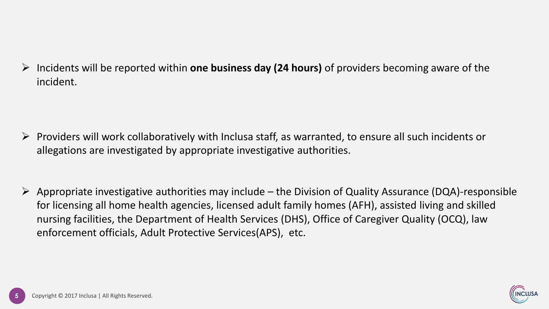➢ Incidents will be reported within **one business day (24 hours)** of providers becoming aware of the incident.

- ➢ Providers will work collaboratively with Inclusa staff, as warranted, to ensure all such incidents or allegations are investigated by appropriate investigative authorities.
- $\triangleright$  Appropriate investigative authorities may include the Division of Quality Assurance (DQA)-responsible for licensing all home health agencies, licensed adult family homes (AFH), assisted living and skilled nursing facilities, the Department of Health Services (DHS), Office of Caregiver Quality (OCQ), law enforcement officials, Adult Protective Services(APS), etc.

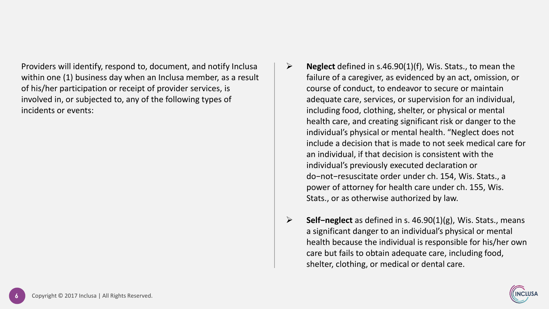Providers will identify, respond to, document, and notify Inclusa within one (1) business day when an Inclusa member, as a result of his/her participation or receipt of provider services, is involved in, or subjected to, any of the following types of incidents or events:

- ➢ **Neglect** defined in s.46.90(1)(f), Wis. Stats., to mean the failure of a caregiver, as evidenced by an act, omission, or course of conduct, to endeavor to secure or maintain adequate care, services, or supervision for an individual, including food, clothing, shelter, or physical or mental health care, and creating significant risk or danger to the individual's physical or mental health. "Neglect does not include a decision that is made to not seek medical care for an individual, if that decision is consistent with the individual's previously executed declaration or do−not−resuscitate order under ch. 154, Wis. Stats., a power of attorney for health care under ch. 155, Wis. Stats., or as otherwise authorized by law.
- ➢ **Self−neglect** as defined in s. 46.90(1)(g), Wis. Stats., means a significant danger to an individual's physical or mental health because the individual is responsible for his/her own care but fails to obtain adequate care, including food, shelter, clothing, or medical or dental care.

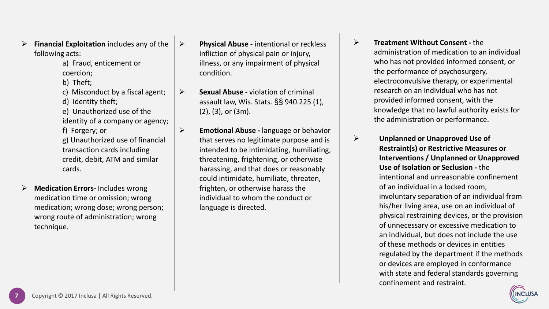- ➢ **Financial Exploitation** includes any of the following acts:
	- a) Fraud, enticement or coercion;
	- b) Theft;
	- c) Misconduct by a fiscal agent; d) Identity theft;
	- e) Unauthorized use of the
	- identity of a company or agency;
	- f) Forgery; or g) Unauthorized use of financial transaction cards including credit, debit, ATM and similar
	- cards.
- ➢ **Medication Errors-** Includes wrong medication time or omission; wrong medication; wrong dose; wrong person; wrong route of administration; wrong technique.
- ➢ **Physical Abuse**  intentional or reckless infliction of physical pain or injury, illness, or any impairment of physical condition.
- ➢ **Sexual Abuse**  violation of criminal assault law, Wis. Stats. §§ 940.225 (1), (2), (3), or (3m).
- ➢ **Emotional Abuse -** language or behavior that serves no legitimate purpose and is intended to be intimidating, humiliating, threatening, frightening, or otherwise harassing, and that does or reasonably could intimidate, humiliate, threaten, frighten, or otherwise harass the individual to whom the conduct or language is directed.
- ➢ **Treatment Without Consent -** the administration of medication to an individual who has not provided informed consent, or the performance of psychosurgery, electroconvulsive therapy, or experimental research on an individual who has not provided informed consent, with the knowledge that no lawful authority exists for the administration or performance.
- ➢ **Unplanned or Unapproved Use of Restraint(s) or Restrictive Measures or Interventions / Unplanned or Unapproved Use of Isolation or Seclusion -** the intentional and unreasonable confinement of an individual in a locked room, involuntary separation of an individual from his/her living area, use on an individual of physical restraining devices, or the provision of unnecessary or excessive medication to an individual, but does not include the use of these methods or devices in entities regulated by the department if the methods or devices are employed in conformance with state and federal standards governing confinement and restraint.

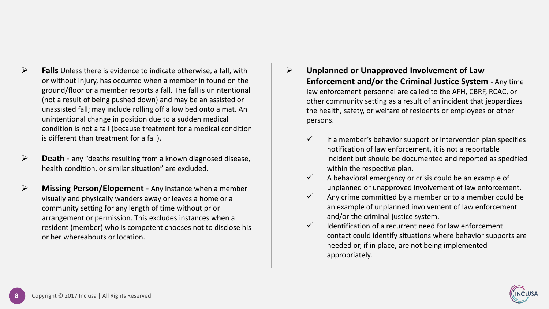- ➢ **Falls** Unless there is evidence to indicate otherwise, a fall, with or without injury, has occurred when a member in found on the ground/floor or a member reports a fall. The fall is unintentional (not a result of being pushed down) and may be an assisted or unassisted fall; may include rolling off a low bed onto a mat. An unintentional change in position due to a sudden medical condition is not a fall (because treatment for a medical condition is different than treatment for a fall).
- ➢ **Death -** any "deaths resulting from a known diagnosed disease, health condition, or similar situation" are excluded.
- ➢ **Missing Person/Elopement -** Any instance when a member visually and physically wanders away or leaves a home or a community setting for any length of time without prior arrangement or permission. This excludes instances when a resident (member) who is competent chooses not to disclose his or her whereabouts or location.
- ➢ **Unplanned or Unapproved Involvement of Law Enforcement and/or the Criminal Justice System -** Any time law enforcement personnel are called to the AFH, CBRF, RCAC, or other community setting as a result of an incident that jeopardizes the health, safety, or welfare of residents or employees or other persons.
	- $\checkmark$  If a member's behavior support or intervention plan specifies notification of law enforcement, it is not a reportable incident but should be documented and reported as specified within the respective plan.
	- $\checkmark$  A behavioral emergency or crisis could be an example of unplanned or unapproved involvement of law enforcement.
	- $\checkmark$  Any crime committed by a member or to a member could be an example of unplanned involvement of law enforcement and/or the criminal justice system.
	- $\checkmark$  Identification of a recurrent need for law enforcement contact could identify situations where behavior supports are needed or, if in place, are not being implemented appropriately.

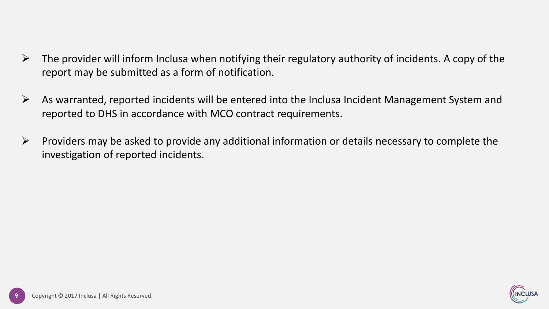- $\triangleright$  The provider will inform Inclusa when notifying their regulatory authority of incidents. A copy of the report may be submitted as a form of notification.
- $\triangleright$  As warranted, reported incidents will be entered into the Inclusa Incident Management System and reported to DHS in accordance with MCO contract requirements.
- $\triangleright$  Providers may be asked to provide any additional information or details necessary to complete the investigation of reported incidents.

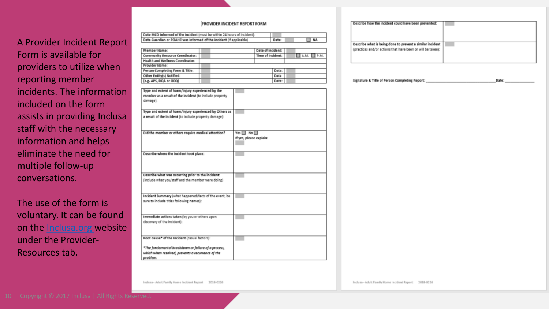#### PROVIDER INCIDENT REPORT FORM

| <b>A Provider Incident Report</b> |        |
|-----------------------------------|--------|
|                                   |        |
| Form is available for             |        |
|                                   |        |
| providers to utilize when         |        |
|                                   |        |
| reporting member                  |        |
|                                   |        |
| incidents. The information        |        |
|                                   |        |
|                                   |        |
| included on the form              |        |
|                                   | Type a |
| assists in providing Inclusa      |        |
|                                   |        |
| staff with the necessary          |        |
|                                   | Did th |
| information and helps             |        |
|                                   |        |
| eliminate the need for            | Descri |
|                                   |        |
| multiple follow-up                |        |
|                                   |        |
|                                   |        |
| conversations.                    |        |
|                                   |        |

The use of the form is voluntary. It can be found on the **Inclusa.org** website under the Provider-Resources tab.

| Date MCO informed of the incident (must be within 24 hours of incident): |       |           |
|--------------------------------------------------------------------------|-------|-----------|
| Date Guardian or POAHC was informed of the incident (if applicable)      | Date: | $\Box$ NA |

| Member Name:                     |  | Date of Incident: |       |  |                  |
|----------------------------------|--|-------------------|-------|--|------------------|
| Community Resource Coordinator:  |  | Time of Incident: |       |  | $A.M. \Box P.M.$ |
| Health and Wellness Coordinator: |  |                   |       |  |                  |
| Provider Name:                   |  |                   |       |  |                  |
| Person Completing Form & Title:  |  |                   | Date: |  |                  |
| Other Entity(s) Notified:        |  |                   | Data  |  |                  |
| (e.g. APS, DQA or OCQ)           |  |                   | Date: |  |                  |

| Type and extent of harm/injury experienced by the                                                        |                                                 |
|----------------------------------------------------------------------------------------------------------|-------------------------------------------------|
| member as a result of the incident (to include property<br>damage):                                      |                                                 |
| Type and extent of harm/injury experienced by Others as                                                  |                                                 |
| a result of the incident (to include property damage):                                                   |                                                 |
| Did the member or others require medical attention?                                                      | Yes $\Box$ No $\Box$<br>If yes, please explain: |
| Describe where the incident took place:                                                                  |                                                 |
| Describe what was occurring prior to the incident:<br>(include what you/staff and the member were doing) |                                                 |
| Incident Summary (what happened/facts of the event, be<br>sure to include titles following names):       |                                                 |
| Immediate actions taken (by you or others upon<br>discovery of the incident):                            |                                                 |
| Root Cause* of the Incident (casual factors):                                                            |                                                 |
| *The fundamental breakdown or failure of a process,<br>which when resolved, prevents a recurrence of the |                                                 |

| Describe how the incident could have been prevented:        |  |
|-------------------------------------------------------------|--|
| Describe what is being done to prevent a similar incident   |  |
| (practices and/or actions that have been or will be taken): |  |
|                                                             |  |
|                                                             |  |

| Signature & Title of Person Completing Report: | Date |
|------------------------------------------------|------|
|------------------------------------------------|------|

Inclusa-Adult Family Home Incident Report 2018-0226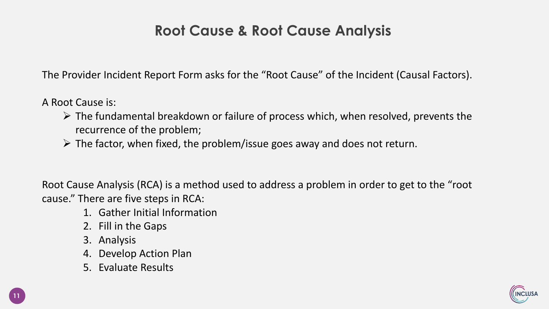#### **Root Cause & Root Cause Analysis**

The Provider Incident Report Form asks for the "Root Cause" of the Incident (Causal Factors).

A Root Cause is:

- $\triangleright$  The fundamental breakdown or failure of process which, when resolved, prevents the recurrence of the problem;
- $\triangleright$  The factor, when fixed, the problem/issue goes away and does not return.

Root Cause Analysis (RCA) is a method used to address a problem in order to get to the "root cause." There are five steps in RCA:

- 1. Gather Initial Information
- 2. Fill in the Gaps
- 3. Analysis
- 4. Develop Action Plan
- 5. Evaluate Results

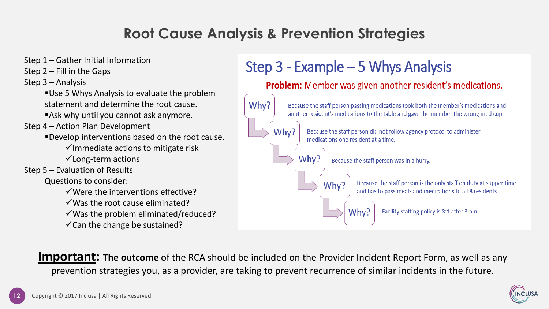### **Root Cause Analysis & Prevention Strategies**

Step 1 – Gather Initial Information

Step 2 – Fill in the Gaps

Step 3 – Analysis

■ Use 5 Whys Analysis to evaluate the problem statement and determine the root cause.

■Ask why until you cannot ask anymore.

Step 4 – Action Plan Development

▪Develop interventions based on the root cause.

 $\checkmark$  Immediate actions to mitigate risk

 $\checkmark$  Long-term actions

Step 5 – Evaluation of Results

Questions to consider:

 $\checkmark$  Were the interventions effective?

 $\checkmark$  Was the root cause eliminated?

 $\checkmark$  Was the problem eliminated/reduced?

 $\checkmark$  Can the change be sustained?

## Step  $3$  - Example  $-5$  Whys Analysis

Problem: Member was given another resident's medications. Why? Because the staff person passing medications took both the member's medications and another resident's medications to the table and gave the member the wrong med cup Why? Because the staff person did not follow agency protocol to administer medications one resident at a time. Why? Because the staff person was in a hurry. Because the staff person is the only staff on duty at supper time Why? and has to pass meals and medications to all 8 residents. Why? Facility staffing policy is 8:1 after 3 pm.

**Important:** The outcome of the RCA should be included on the Provider Incident Report Form, as well as any prevention strategies you, as a provider, are taking to prevent recurrence of similar incidents in the future.